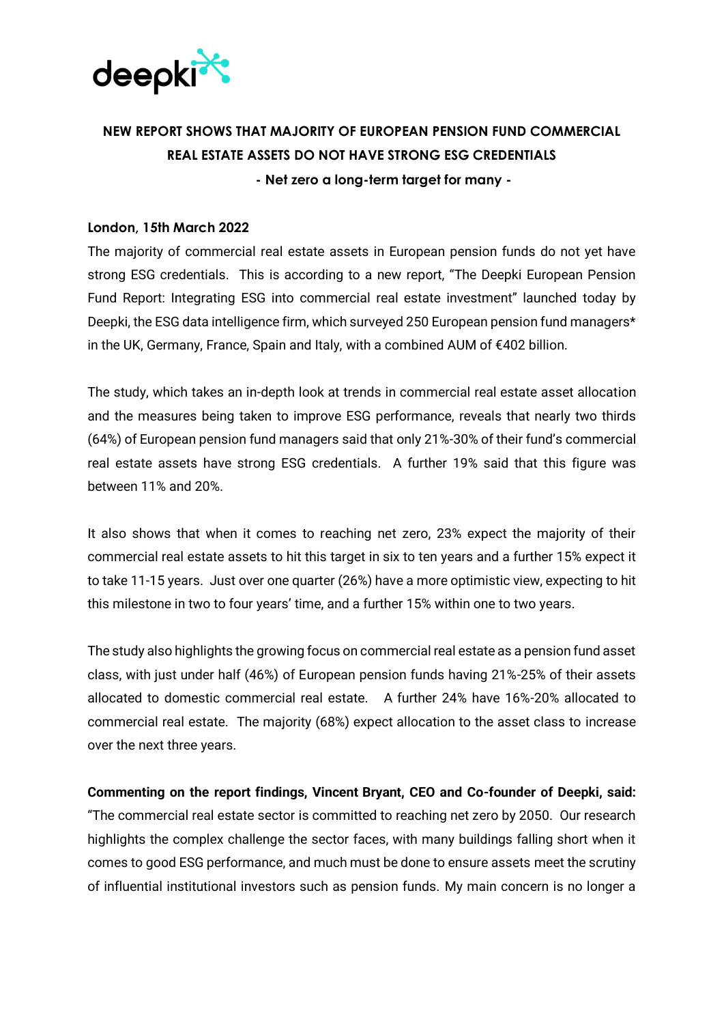

## **NEW REPORT SHOWS THAT MAJORITY OF EUROPEAN PENSION FUND COMMERCIAL REAL ESTATE ASSETS DO NOT HAVE STRONG ESG CREDENTIALS - Net zero a long-term target for many -**

## **London, 15th March 2022**

The majority of commercial real estate assets in European pension funds do not yet have strong ESG credentials. This is according to a new report, "The Deepki European Pension Fund Report: Integrating ESG into commercial real estate investment" launched today by Deepki, the ESG data intelligence firm, which surveyed 250 European pension fund managers\* in the UK, Germany, France, Spain and Italy, with a combined AUM of €402 billion.

The study, which takes an in-depth look at trends in commercial real estate asset allocation and the measures being taken to improve ESG performance, reveals that nearly two thirds (64%) of European pension fund managers said that only 21%-30% of their fund's commercial real estate assets have strong ESG credentials. A further 19% said that this figure was between 11% and 20%.

It also shows that when it comes to reaching net zero, 23% expect the majority of their commercial real estate assets to hit this target in six to ten years and a further 15% expect it to take 11-15 years. Just over one quarter (26%) have a more optimistic view, expecting to hit this milestone in two to four years' time, and a further 15% within one to two years.

The study also highlights the growing focus on commercial real estate as a pension fund asset class, with just under half (46%) of European pension funds having 21%-25% of their assets allocated to domestic commercial real estate. A further 24% have 16%-20% allocated to commercial real estate. The majority (68%) expect allocation to the asset class to increase over the next three years.

**Commenting on the report findings, Vincent Bryant, CEO and Co-founder of Deepki, said:** "The commercial real estate sector is committed to reaching net zero by 2050. Our research highlights the complex challenge the sector faces, with many buildings falling short when it comes to good ESG performance, and much must be done to ensure assets meet the scrutiny of influential institutional investors such as pension funds. My main concern is no longer a